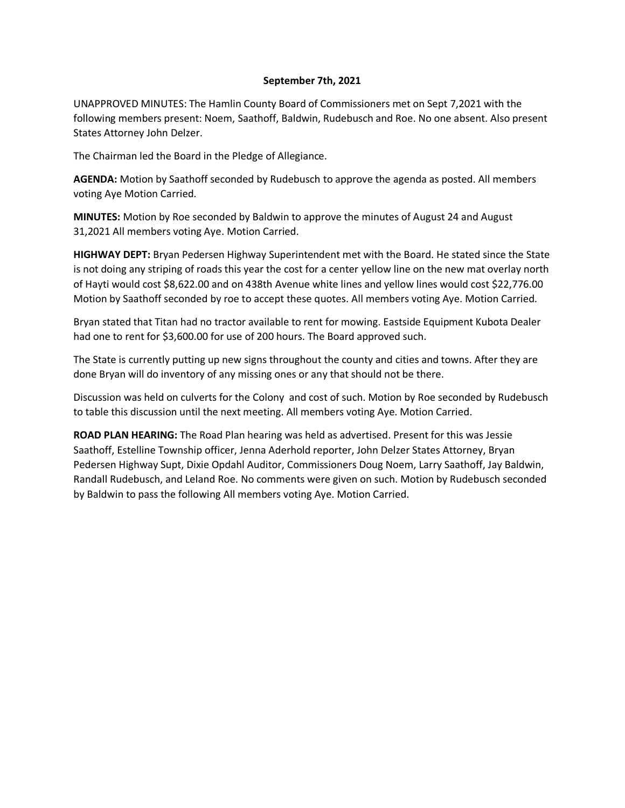## **September 7th, 2021**

UNAPPROVED MINUTES: The Hamlin County Board of Commissioners met on Sept 7,2021 with the following members present: Noem, Saathoff, Baldwin, Rudebusch and Roe. No one absent. Also present States Attorney John Delzer.

The Chairman led the Board in the Pledge of Allegiance.

**AGENDA:** Motion by Saathoff seconded by Rudebusch to approve the agenda as posted. All members voting Aye Motion Carried.

**MINUTES:** Motion by Roe seconded by Baldwin to approve the minutes of August 24 and August 31,2021 All members voting Aye. Motion Carried.

**HIGHWAY DEPT:** Bryan Pedersen Highway Superintendent met with the Board. He stated since the State is not doing any striping of roads this year the cost for a center yellow line on the new mat overlay north of Hayti would cost \$8,622.00 and on 438th Avenue white lines and yellow lines would cost \$22,776.00 Motion by Saathoff seconded by roe to accept these quotes. All members voting Aye. Motion Carried.

Bryan stated that Titan had no tractor available to rent for mowing. Eastside Equipment Kubota Dealer had one to rent for \$3,600.00 for use of 200 hours. The Board approved such.

The State is currently putting up new signs throughout the county and cities and towns. After they are done Bryan will do inventory of any missing ones or any that should not be there.

Discussion was held on culverts for the Colony and cost of such. Motion by Roe seconded by Rudebusch to table this discussion until the next meeting. All members voting Aye. Motion Carried.

**ROAD PLAN HEARING:** The Road Plan hearing was held as advertised. Present for this was Jessie Saathoff, Estelline Township officer, Jenna Aderhold reporter, John Delzer States Attorney, Bryan Pedersen Highway Supt, Dixie Opdahl Auditor, Commissioners Doug Noem, Larry Saathoff, Jay Baldwin, Randall Rudebusch, and Leland Roe. No comments were given on such. Motion by Rudebusch seconded by Baldwin to pass the following All members voting Aye. Motion Carried.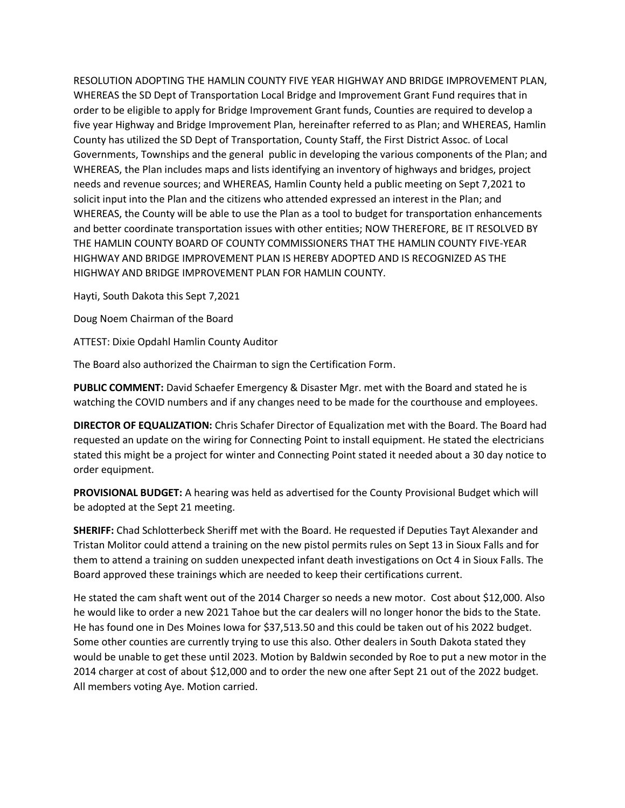RESOLUTION ADOPTING THE HAMLIN COUNTY FIVE YEAR HIGHWAY AND BRIDGE IMPROVEMENT PLAN, WHEREAS the SD Dept of Transportation Local Bridge and Improvement Grant Fund requires that in order to be eligible to apply for Bridge Improvement Grant funds, Counties are required to develop a five year Highway and Bridge Improvement Plan, hereinafter referred to as Plan; and WHEREAS, Hamlin County has utilized the SD Dept of Transportation, County Staff, the First District Assoc. of Local Governments, Townships and the general public in developing the various components of the Plan; and WHEREAS, the Plan includes maps and lists identifying an inventory of highways and bridges, project needs and revenue sources; and WHEREAS, Hamlin County held a public meeting on Sept 7,2021 to solicit input into the Plan and the citizens who attended expressed an interest in the Plan; and WHEREAS, the County will be able to use the Plan as a tool to budget for transportation enhancements and better coordinate transportation issues with other entities; NOW THEREFORE, BE IT RESOLVED BY THE HAMLIN COUNTY BOARD OF COUNTY COMMISSIONERS THAT THE HAMLIN COUNTY FIVE-YEAR HIGHWAY AND BRIDGE IMPROVEMENT PLAN IS HEREBY ADOPTED AND IS RECOGNIZED AS THE HIGHWAY AND BRIDGE IMPROVEMENT PLAN FOR HAMLIN COUNTY.

Hayti, South Dakota this Sept 7,2021

Doug Noem Chairman of the Board

ATTEST: Dixie Opdahl Hamlin County Auditor

The Board also authorized the Chairman to sign the Certification Form.

**PUBLIC COMMENT:** David Schaefer Emergency & Disaster Mgr. met with the Board and stated he is watching the COVID numbers and if any changes need to be made for the courthouse and employees.

**DIRECTOR OF EQUALIZATION:** Chris Schafer Director of Equalization met with the Board. The Board had requested an update on the wiring for Connecting Point to install equipment. He stated the electricians stated this might be a project for winter and Connecting Point stated it needed about a 30 day notice to order equipment.

**PROVISIONAL BUDGET:** A hearing was held as advertised for the County Provisional Budget which will be adopted at the Sept 21 meeting.

**SHERIFF:** Chad Schlotterbeck Sheriff met with the Board. He requested if Deputies Tayt Alexander and Tristan Molitor could attend a training on the new pistol permits rules on Sept 13 in Sioux Falls and for them to attend a training on sudden unexpected infant death investigations on Oct 4 in Sioux Falls. The Board approved these trainings which are needed to keep their certifications current.

He stated the cam shaft went out of the 2014 Charger so needs a new motor. Cost about \$12,000. Also he would like to order a new 2021 Tahoe but the car dealers will no longer honor the bids to the State. He has found one in Des Moines Iowa for \$37,513.50 and this could be taken out of his 2022 budget. Some other counties are currently trying to use this also. Other dealers in South Dakota stated they would be unable to get these until 2023. Motion by Baldwin seconded by Roe to put a new motor in the 2014 charger at cost of about \$12,000 and to order the new one after Sept 21 out of the 2022 budget. All members voting Aye. Motion carried.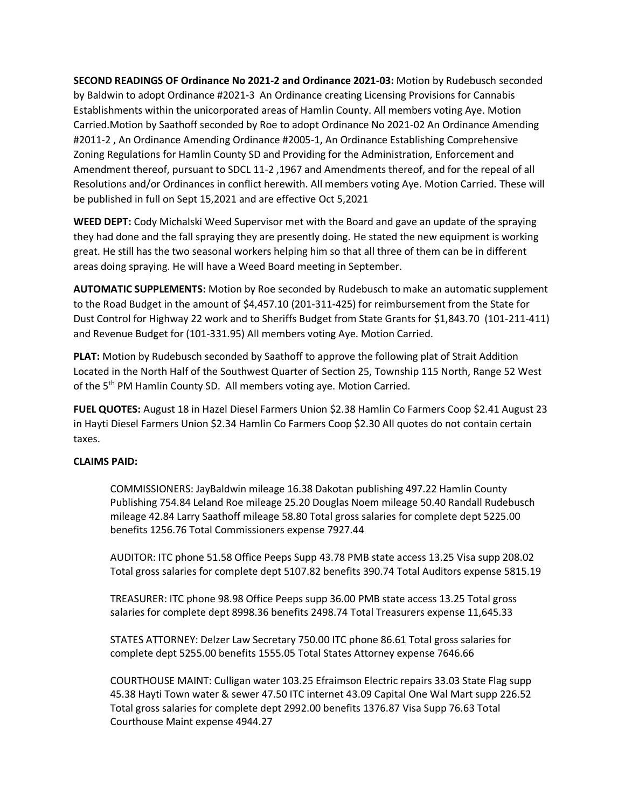**SECOND READINGS OF Ordinance No 2021-2 and Ordinance 2021-03:** Motion by Rudebusch seconded by Baldwin to adopt Ordinance #2021-3 An Ordinance creating Licensing Provisions for Cannabis Establishments within the unicorporated areas of Hamlin County. All members voting Aye. Motion Carried.Motion by Saathoff seconded by Roe to adopt Ordinance No 2021-02 An Ordinance Amending #2011-2 , An Ordinance Amending Ordinance #2005-1, An Ordinance Establishing Comprehensive Zoning Regulations for Hamlin County SD and Providing for the Administration, Enforcement and Amendment thereof, pursuant to SDCL 11-2 ,1967 and Amendments thereof, and for the repeal of all Resolutions and/or Ordinances in conflict herewith. All members voting Aye. Motion Carried. These will be published in full on Sept 15,2021 and are effective Oct 5,2021

**WEED DEPT:** Cody Michalski Weed Supervisor met with the Board and gave an update of the spraying they had done and the fall spraying they are presently doing. He stated the new equipment is working great. He still has the two seasonal workers helping him so that all three of them can be in different areas doing spraying. He will have a Weed Board meeting in September.

**AUTOMATIC SUPPLEMENTS:** Motion by Roe seconded by Rudebusch to make an automatic supplement to the Road Budget in the amount of \$4,457.10 (201-311-425) for reimbursement from the State for Dust Control for Highway 22 work and to Sheriffs Budget from State Grants for \$1,843.70 (101-211-411) and Revenue Budget for (101-331.95) All members voting Aye. Motion Carried.

**PLAT:** Motion by Rudebusch seconded by Saathoff to approve the following plat of Strait Addition Located in the North Half of the Southwest Quarter of Section 25, Township 115 North, Range 52 West of the 5<sup>th</sup> PM Hamlin County SD. All members voting aye. Motion Carried.

**FUEL QUOTES:** August 18 in Hazel Diesel Farmers Union \$2.38 Hamlin Co Farmers Coop \$2.41 August 23 in Hayti Diesel Farmers Union \$2.34 Hamlin Co Farmers Coop \$2.30 All quotes do not contain certain taxes.

## **CLAIMS PAID:**

COMMISSIONERS: JayBaldwin mileage 16.38 Dakotan publishing 497.22 Hamlin County Publishing 754.84 Leland Roe mileage 25.20 Douglas Noem mileage 50.40 Randall Rudebusch mileage 42.84 Larry Saathoff mileage 58.80 Total gross salaries for complete dept 5225.00 benefits 1256.76 Total Commissioners expense 7927.44

AUDITOR: ITC phone 51.58 Office Peeps Supp 43.78 PMB state access 13.25 Visa supp 208.02 Total gross salaries for complete dept 5107.82 benefits 390.74 Total Auditors expense 5815.19

TREASURER: ITC phone 98.98 Office Peeps supp 36.00 PMB state access 13.25 Total gross salaries for complete dept 8998.36 benefits 2498.74 Total Treasurers expense 11,645.33

STATES ATTORNEY: Delzer Law Secretary 750.00 ITC phone 86.61 Total gross salaries for complete dept 5255.00 benefits 1555.05 Total States Attorney expense 7646.66

COURTHOUSE MAINT: Culligan water 103.25 Efraimson Electric repairs 33.03 State Flag supp 45.38 Hayti Town water & sewer 47.50 ITC internet 43.09 Capital One Wal Mart supp 226.52 Total gross salaries for complete dept 2992.00 benefits 1376.87 Visa Supp 76.63 Total Courthouse Maint expense 4944.27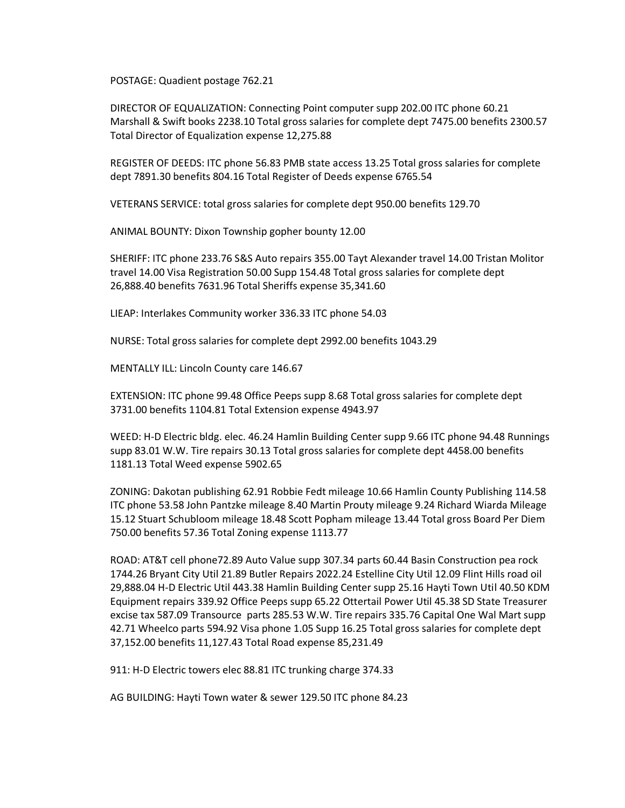POSTAGE: Quadient postage 762.21

DIRECTOR OF EQUALIZATION: Connecting Point computer supp 202.00 ITC phone 60.21 Marshall & Swift books 2238.10 Total gross salaries for complete dept 7475.00 benefits 2300.57 Total Director of Equalization expense 12,275.88

REGISTER OF DEEDS: ITC phone 56.83 PMB state access 13.25 Total gross salaries for complete dept 7891.30 benefits 804.16 Total Register of Deeds expense 6765.54

VETERANS SERVICE: total gross salaries for complete dept 950.00 benefits 129.70

ANIMAL BOUNTY: Dixon Township gopher bounty 12.00

SHERIFF: ITC phone 233.76 S&S Auto repairs 355.00 Tayt Alexander travel 14.00 Tristan Molitor travel 14.00 Visa Registration 50.00 Supp 154.48 Total gross salaries for complete dept 26,888.40 benefits 7631.96 Total Sheriffs expense 35,341.60

LIEAP: Interlakes Community worker 336.33 ITC phone 54.03

NURSE: Total gross salaries for complete dept 2992.00 benefits 1043.29

MENTALLY ILL: Lincoln County care 146.67

EXTENSION: ITC phone 99.48 Office Peeps supp 8.68 Total gross salaries for complete dept 3731.00 benefits 1104.81 Total Extension expense 4943.97

WEED: H-D Electric bldg. elec. 46.24 Hamlin Building Center supp 9.66 ITC phone 94.48 Runnings supp 83.01 W.W. Tire repairs 30.13 Total gross salaries for complete dept 4458.00 benefits 1181.13 Total Weed expense 5902.65

ZONING: Dakotan publishing 62.91 Robbie Fedt mileage 10.66 Hamlin County Publishing 114.58 ITC phone 53.58 John Pantzke mileage 8.40 Martin Prouty mileage 9.24 Richard Wiarda Mileage 15.12 Stuart Schubloom mileage 18.48 Scott Popham mileage 13.44 Total gross Board Per Diem 750.00 benefits 57.36 Total Zoning expense 1113.77

ROAD: AT&T cell phone72.89 Auto Value supp 307.34 parts 60.44 Basin Construction pea rock 1744.26 Bryant City Util 21.89 Butler Repairs 2022.24 Estelline City Util 12.09 Flint Hills road oil 29,888.04 H-D Electric Util 443.38 Hamlin Building Center supp 25.16 Hayti Town Util 40.50 KDM Equipment repairs 339.92 Office Peeps supp 65.22 Ottertail Power Util 45.38 SD State Treasurer excise tax 587.09 Transource parts 285.53 W.W. Tire repairs 335.76 Capital One Wal Mart supp 42.71 Wheelco parts 594.92 Visa phone 1.05 Supp 16.25 Total gross salaries for complete dept 37,152.00 benefits 11,127.43 Total Road expense 85,231.49

911: H-D Electric towers elec 88.81 ITC trunking charge 374.33

AG BUILDING: Hayti Town water & sewer 129.50 ITC phone 84.23